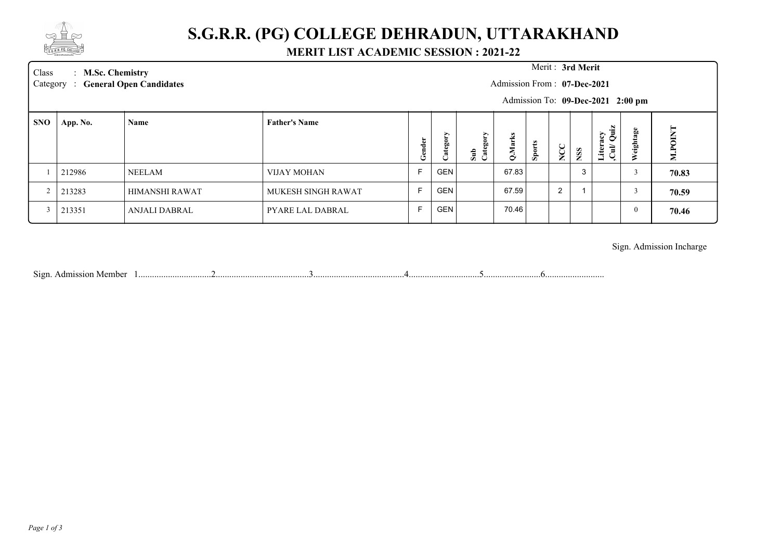

## **S.G.R.R. (PG) COLLEGE DEHRADUN, UTTARAKHAND**

### **MERIT LIST ACADEMIC SESSION : 2021-22**

Class : **M.Sc. Chemistry Merit :** 

Category : General Open Candidates

#### Merit: 3rd Merit

Admission From : **07-Dec-2021**

Admission To: **09-Dec-2021 2:00 pm**

| <b>SNO</b> | App. No. | Name           | <b>Father's Name</b> |           |                        |              |                           |          |                 |                        | N                                              |            | ⊨                             |
|------------|----------|----------------|----------------------|-----------|------------------------|--------------|---------------------------|----------|-----------------|------------------------|------------------------------------------------|------------|-------------------------------|
|            |          |                |                      | ಕಿ<br>یم, | ∽<br>$\mathbb{R}$<br>ٮ | ≻<br>ま<br>こま | Σ<br>$\mathbf{\tilde{o}}$ | ఆ<br>Spo | ≍<br>$\epsilon$ | <b>iss</b><br><u>c</u> | $-1$<br>$\frac{5}{2}$<br>÷.<br>Ξ.<br>.ite<br>- | age<br>igi | ⇁<br>≘<br>$\overline{P}$<br>Σ |
|            | 212986   | <b>NEELAM</b>  | VIJAY MOHAN          |           | <b>GEN</b>             |              | 67.83                     |          |                 | د.                     |                                                |            | 70.83                         |
|            | 213283   | HIMANSHI RAWAT | MUKESH SINGH RAWAT   |           | <b>GEN</b>             |              | 67.59                     |          | 2               |                        |                                                |            | 70.59                         |
|            | 213351   | ANJALI DABRAL  | PYARE LAL DABRAL     |           | <b>GEN</b>             |              | 70.46                     |          |                 |                        |                                                |            | 70.46                         |

### Sign. Admission Incharge

Sign. Admission Member 1................................2.........................................3........................................4...............................5.........................6..........................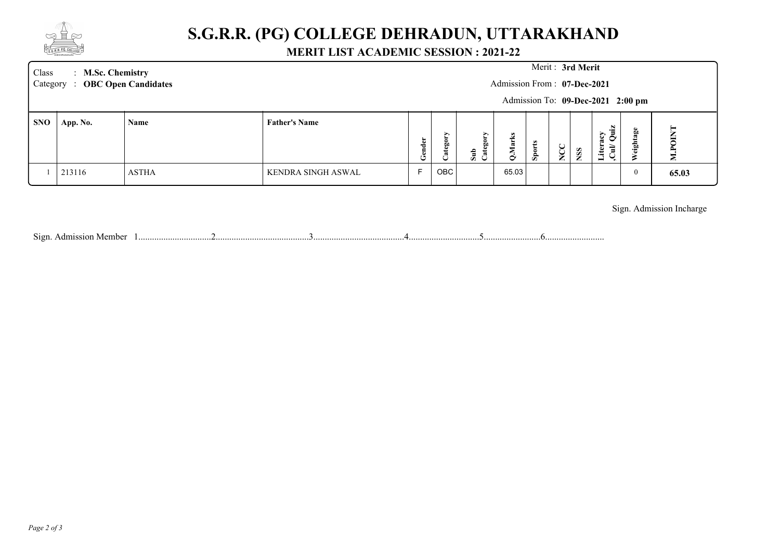

## **S.G.R.R. (PG) COLLEGE DEHRADUN, UTTARAKHAND**

### **MERIT LIST ACADEMIC SESSION : 2021-22**

| Class<br>: M.Sc. Chemistry<br>Category : OBC Open Candidates |          |              |                      | Merit: 3rd Merit<br>Admission From: 07-Dec-2021<br>Admission To: 09-Dec-2021 2:00 pm |                   |                   |            |           |                  |            |                                           |          |                |
|--------------------------------------------------------------|----------|--------------|----------------------|--------------------------------------------------------------------------------------|-------------------|-------------------|------------|-----------|------------------|------------|-------------------------------------------|----------|----------------|
| <b>SNO</b>                                                   | App. No. | Name         | <b>Father's Name</b> | Gender                                                                               | ∽<br>gg<br>C<br>ී | ⋗<br>Sub<br>Categ | Marl.<br>◡ | ఆ<br>Spor | $\sum_{i=1}^{n}$ | <b>NSS</b> | 'n.<br>$\frac{5}{2}$<br>Liter:<br>ਵੇ<br>◡ | eightage | <b>M.POINT</b> |
|                                                              | 213116   | <b>ASTHA</b> | KENDRA SINGH ASWAL   |                                                                                      | OBC               |                   | 65.03      |           |                  |            |                                           | v        | 65.03          |

Sign. Admission Incharge

Sign. Admission Member 1................................2.........................................3........................................4...............................5.........................6..........................